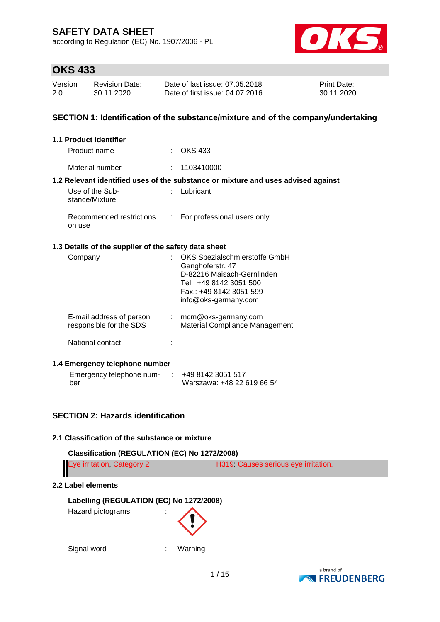according to Regulation (EC) No. 1907/2006 - PL



# **OKS 433**

| Version | <b>Revision Date:</b> | Date of last issue: 07.05.2018  | <b>Print Date:</b> |
|---------|-----------------------|---------------------------------|--------------------|
| 2.0     | 30.11.2020            | Date of first issue: 04.07.2016 | 30.11.2020         |

### **SECTION 1: Identification of the substance/mixture and of the company/undertaking**

|         | <b>1.1 Product identifier</b>                        |                |                                                                                                                                                               |
|---------|------------------------------------------------------|----------------|---------------------------------------------------------------------------------------------------------------------------------------------------------------|
|         | Product name                                         |                | $\therefore$ OKS 433                                                                                                                                          |
|         | Material number                                      | t.             | 1103410000                                                                                                                                                    |
|         |                                                      |                | 1.2 Relevant identified uses of the substance or mixture and uses advised against                                                                             |
|         | Use of the Sub-<br>stance/Mixture                    |                | Lubricant                                                                                                                                                     |
| on use  | Recommended restrictions                             | $\mathbb{R}^n$ | For professional users only.                                                                                                                                  |
|         | 1.3 Details of the supplier of the safety data sheet |                |                                                                                                                                                               |
| Company |                                                      |                | OKS Spezialschmierstoffe GmbH<br>Ganghoferstr. 47<br>D-82216 Maisach-Gernlinden<br>Tel.: +49 8142 3051 500<br>Fax.: +49 8142 3051 599<br>info@oks-germany.com |
|         | E-mail address of person<br>responsible for the SDS  |                | $:$ mcm@oks-germany.com<br>Material Compliance Management                                                                                                     |
|         | National contact                                     |                |                                                                                                                                                               |
|         | 1.4 Emergency telephone number                       |                |                                                                                                                                                               |
|         | Emergency telephone num- : +49 8142 3051 517         |                |                                                                                                                                                               |

# **SECTION 2: Hazards identification**

### **2.1 Classification of the substance or mixture**

# **Classification (REGULATION (EC) No 1272/2008)** Eye irritation, Category 2 H319: Causes serious eye irritation.

Warszawa: +48 22 619 66 54

### **2.2 Label elements**

ber

### **Labelling (REGULATION (EC) No 1272/2008)**

Hazard pictograms :



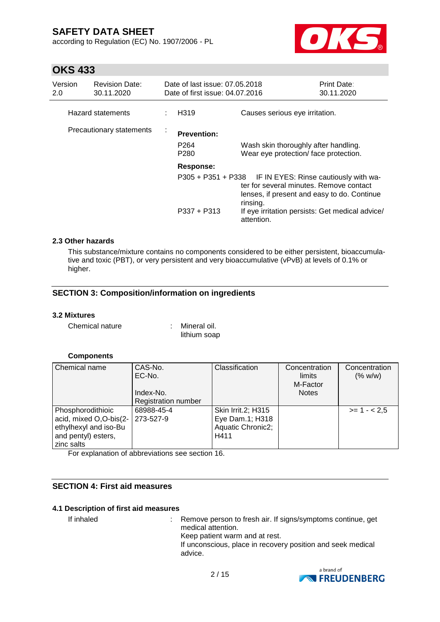according to Regulation (EC) No. 1907/2006 - PL



# **OKS 433**

| Version<br>2.0           | <b>Revision Date:</b><br>30.11.2020 | Date of last issue: 07.05.2018<br>Date of first issue: 04.07.2016 |                                                                                                                                                                | <b>Print Date:</b><br>30.11.2020                                              |  |
|--------------------------|-------------------------------------|-------------------------------------------------------------------|----------------------------------------------------------------------------------------------------------------------------------------------------------------|-------------------------------------------------------------------------------|--|
|                          | Hazard statements                   | H319                                                              | Causes serious eye irritation.                                                                                                                                 |                                                                               |  |
| Precautionary statements |                                     | <b>Prevention:</b><br>P <sub>264</sub><br>P <sub>280</sub>        |                                                                                                                                                                | Wash skin thoroughly after handling.<br>Wear eye protection/ face protection. |  |
|                          |                                     | Response:                                                         | P305 + P351 + P338 IF IN EYES: Rinse cautiously with wa-<br>ter for several minutes. Remove contact<br>lenses, if present and easy to do. Continue<br>rinsing. |                                                                               |  |
|                          |                                     | $P337 + P313$                                                     | If eye irritation persists: Get medical advice/<br>attention.                                                                                                  |                                                                               |  |

### **2.3 Other hazards**

This substance/mixture contains no components considered to be either persistent, bioaccumulative and toxic (PBT), or very persistent and very bioaccumulative (vPvB) at levels of 0.1% or higher.

# **SECTION 3: Composition/information on ingredients**

### **3.2 Mixtures**

Chemical nature : Mineral oil.

lithium soap

## **Components**

| Chemical name                                                                                             | CAS-No.<br>EC-No.<br>Index-No.<br><b>Registration number</b> | Classification                                                     | Concentration<br>limits<br>M-Factor<br><b>Notes</b> | Concentration<br>(% w/w) |
|-----------------------------------------------------------------------------------------------------------|--------------------------------------------------------------|--------------------------------------------------------------------|-----------------------------------------------------|--------------------------|
| Phosphorodithioic<br>acid, mixed O,O-bis(2-<br>ethylhexyl and iso-Bu<br>and pentyl) esters,<br>zinc salts | 68988-45-4<br>273-527-9                                      | Skin Irrit.2; H315<br>Eye Dam.1; H318<br>Aquatic Chronic2;<br>H411 |                                                     | $>= 1 - 2.5$             |

For explanation of abbreviations see section 16.

## **SECTION 4: First aid measures**

### **4.1 Description of first aid measures**

If inhaled : Remove person to fresh air. If signs/symptoms continue, get medical attention. Keep patient warm and at rest. If unconscious, place in recovery position and seek medical advice.

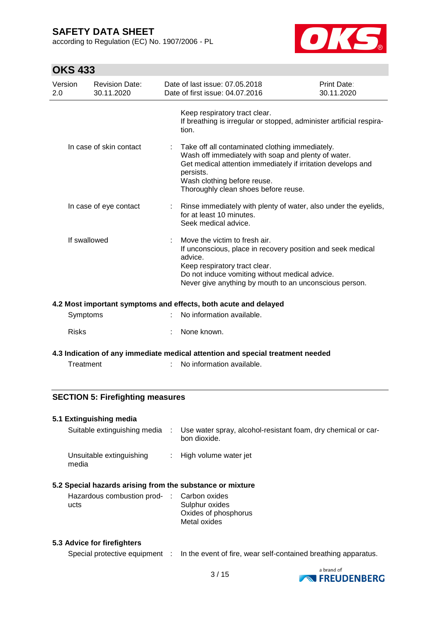according to Regulation (EC) No. 1907/2006 - PL



# **OKS 433**

| Version<br>2.0 | <b>Revision Date:</b><br>30.11.2020 | Date of last issue: 07.05.2018<br>Date of first issue: 04.07.2016                                                                                                                                                                                          | Print Date:<br>30.11.2020 |
|----------------|-------------------------------------|------------------------------------------------------------------------------------------------------------------------------------------------------------------------------------------------------------------------------------------------------------|---------------------------|
|                |                                     | Keep respiratory tract clear.<br>If breathing is irregular or stopped, administer artificial respira-<br>tion.                                                                                                                                             |                           |
|                | In case of skin contact             | Take off all contaminated clothing immediately.<br>Wash off immediately with soap and plenty of water.<br>Get medical attention immediately if irritation develops and<br>persists.<br>Wash clothing before reuse.<br>Thoroughly clean shoes before reuse. |                           |
|                | In case of eye contact              | Rinse immediately with plenty of water, also under the eyelids,<br>for at least 10 minutes.<br>Seek medical advice.                                                                                                                                        |                           |
| If swallowed   |                                     | Move the victim to fresh air.<br>If unconscious, place in recovery position and seek medical<br>advice.<br>Keep respiratory tract clear.<br>Do not induce vomiting without medical advice.<br>Never give anything by mouth to an unconscious person.       |                           |

### **4.2 Most important symptoms and effects, both acute and delayed**

| Symptoms | : No information available. |
|----------|-----------------------------|
| Risks    | : None known.               |

### **4.3 Indication of any immediate medical attention and special treatment needed**

Treatment : No information available.

### **SECTION 5: Firefighting measures**

#### **5.1 Extinguishing media**

media

| Suitable extinguishing media | Use water spray, alcohol-resistant foam, dry chemical or car-<br>bon dioxide. |
|------------------------------|-------------------------------------------------------------------------------|
| Unsuitable extinguishing     | : High volume water jet                                                       |

# **5.2 Special hazards arising from the substance or mixture**

| Hazardous combustion prod- : Carbon oxides |                      |
|--------------------------------------------|----------------------|
| ucts                                       | Sulphur oxides       |
|                                            | Oxides of phosphorus |
|                                            | Metal oxides         |

### **5.3 Advice for firefighters**

Special protective equipment : In the event of fire, wear self-contained breathing apparatus.

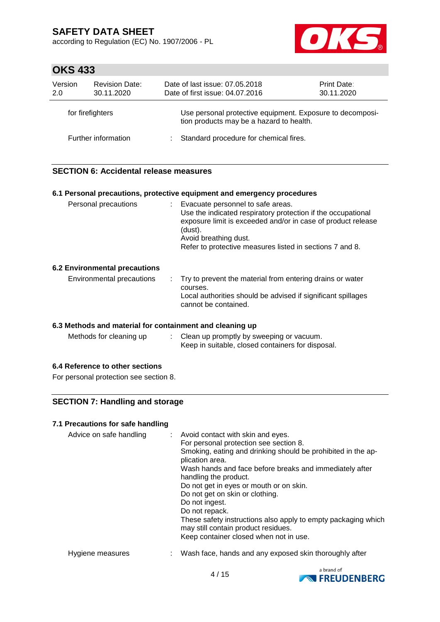according to Regulation (EC) No. 1907/2006 - PL



# **OKS 433**

| Version<br>2.0   | <b>Revision Date:</b><br>30.11.2020 | Date of last issue: 07.05.2018<br>Date of first issue: 04.07.2016                                     | Print Date:<br>30.11.2020 |
|------------------|-------------------------------------|-------------------------------------------------------------------------------------------------------|---------------------------|
| for firefighters |                                     | Use personal protective equipment. Exposure to decomposi-<br>tion products may be a hazard to health. |                           |
|                  | Further information                 | Standard procedure for chemical fires.                                                                |                           |

# **SECTION 6: Accidental release measures**

| 6.1 Personal precautions, protective equipment and emergency procedures |  |                                                                                                                                                                                                                                                                     |  |  |
|-------------------------------------------------------------------------|--|---------------------------------------------------------------------------------------------------------------------------------------------------------------------------------------------------------------------------------------------------------------------|--|--|
| Personal precautions                                                    |  | : Evacuate personnel to safe areas.<br>Use the indicated respiratory protection if the occupational<br>exposure limit is exceeded and/or in case of product release<br>(dust).<br>Avoid breathing dust.<br>Refer to protective measures listed in sections 7 and 8. |  |  |
| <b>6.2 Environmental precautions</b>                                    |  |                                                                                                                                                                                                                                                                     |  |  |
| Environmental precautions                                               |  | : Try to prevent the material from entering drains or water<br>courses.<br>Local authorities should be advised if significant spillages                                                                                                                             |  |  |
|                                                                         |  | cannot be contained.                                                                                                                                                                                                                                                |  |  |

### **6.3 Methods and material for containment and cleaning up**

| Methods for cleaning up | Clean up promptly by sweeping or vacuum.          |
|-------------------------|---------------------------------------------------|
|                         | Keep in suitable, closed containers for disposal. |

### **6.4 Reference to other sections**

For personal protection see section 8.

# **SECTION 7: Handling and storage**

### **7.1 Precautions for safe handling**

| Advice on safe handling | : Avoid contact with skin and eyes.<br>For personal protection see section 8.<br>Smoking, eating and drinking should be prohibited in the ap-<br>plication area.<br>Wash hands and face before breaks and immediately after<br>handling the product.<br>Do not get in eyes or mouth or on skin.<br>Do not get on skin or clothing.<br>Do not ingest.<br>Do not repack.<br>These safety instructions also apply to empty packaging which<br>may still contain product residues.<br>Keep container closed when not in use. |
|-------------------------|--------------------------------------------------------------------------------------------------------------------------------------------------------------------------------------------------------------------------------------------------------------------------------------------------------------------------------------------------------------------------------------------------------------------------------------------------------------------------------------------------------------------------|
| Hygiene measures        | Wash face, hands and any exposed skin thoroughly after                                                                                                                                                                                                                                                                                                                                                                                                                                                                   |

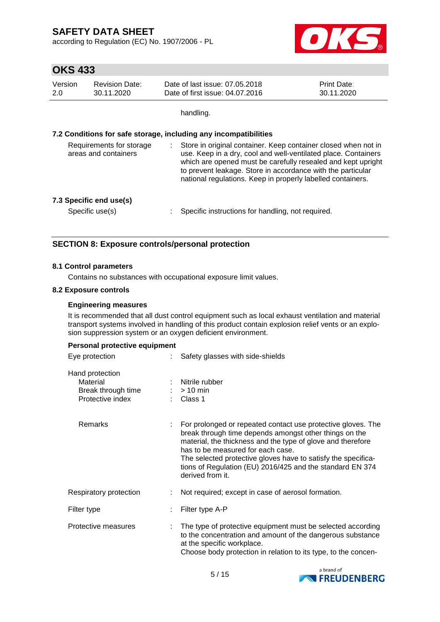according to Regulation (EC) No. 1907/2006 - PL



# **OKS 433**

| Version | <b>Revision Date:</b> | Date of last issue: 07,05,2018  | <b>Print Date:</b> |
|---------|-----------------------|---------------------------------|--------------------|
| 2.0     | 30.11.2020            | Date of first issue: 04.07.2016 | 30.11.2020         |

handling.

### **7.2 Conditions for safe storage, including any incompatibilities**

| Store in original container. Keep container closed when not in<br>use. Keep in a dry, cool and well-ventilated place. Containers<br>which are opened must be carefully resealed and kept upright<br>to prevent leakage. Store in accordance with the particular<br>national regulations. Keep in properly labelled containers. |
|--------------------------------------------------------------------------------------------------------------------------------------------------------------------------------------------------------------------------------------------------------------------------------------------------------------------------------|
| Specific instructions for handling, not required.                                                                                                                                                                                                                                                                              |
|                                                                                                                                                                                                                                                                                                                                |

## **SECTION 8: Exposure controls/personal protection**

### **8.1 Control parameters**

Contains no substances with occupational exposure limit values.

#### **8.2 Exposure controls**

### **Engineering measures**

It is recommended that all dust control equipment such as local exhaust ventilation and material transport systems involved in handling of this product contain explosion relief vents or an explosion suppression system or an oxygen deficient environment.

| Personal protective equipment |  |  |  |
|-------------------------------|--|--|--|
|-------------------------------|--|--|--|

| Safety glasses with side-shields                                                                                                                                                                                                                                                                                                                                             |
|------------------------------------------------------------------------------------------------------------------------------------------------------------------------------------------------------------------------------------------------------------------------------------------------------------------------------------------------------------------------------|
| Nitrile rubber<br>$:$ > 10 min<br>: Class 1                                                                                                                                                                                                                                                                                                                                  |
| For prolonged or repeated contact use protective gloves. The<br>break through time depends amongst other things on the<br>material, the thickness and the type of glove and therefore<br>has to be measured for each case.<br>The selected protective gloves have to satisfy the specifica-<br>tions of Regulation (EU) 2016/425 and the standard EN 374<br>derived from it. |
| Not required; except in case of aerosol formation.                                                                                                                                                                                                                                                                                                                           |
| Filter type A-P                                                                                                                                                                                                                                                                                                                                                              |
| The type of protective equipment must be selected according<br>to the concentration and amount of the dangerous substance<br>at the specific workplace.<br>Choose body protection in relation to its type, to the concen-                                                                                                                                                    |
|                                                                                                                                                                                                                                                                                                                                                                              |

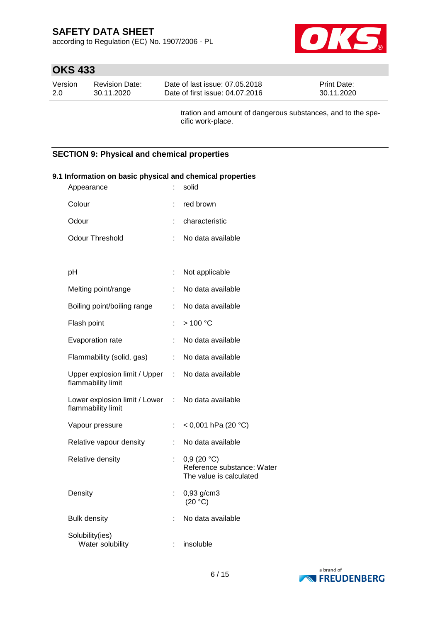according to Regulation (EC) No. 1907/2006 - PL



# **OKS 433**

| Version | Revision Date: | Date of last issue: 07.05.2018  | <b>Print Date:</b> |
|---------|----------------|---------------------------------|--------------------|
| -2.0    | 30.11.2020     | Date of first issue: 04.07.2016 | 30.11.2020         |

tration and amount of dangerous substances, and to the specific work-place.

# **SECTION 9: Physical and chemical properties**

| Appearance                                                              |                           | solid                                                               |
|-------------------------------------------------------------------------|---------------------------|---------------------------------------------------------------------|
| Colour                                                                  | ÷                         | red brown                                                           |
| Odour                                                                   |                           | characteristic                                                      |
| <b>Odour Threshold</b>                                                  | ÷                         | No data available                                                   |
|                                                                         |                           |                                                                     |
| pH                                                                      | ÷                         | Not applicable                                                      |
| Melting point/range                                                     | ÷                         | No data available                                                   |
| Boiling point/boiling range                                             | ÷                         | No data available                                                   |
| Flash point                                                             | ÷                         | >100 °C                                                             |
| Evaporation rate                                                        | ÷                         | No data available                                                   |
| Flammability (solid, gas)                                               | $\ddot{\phantom{a}}$      | No data available                                                   |
| Upper explosion limit / Upper : No data available<br>flammability limit |                           |                                                                     |
| Lower explosion limit / Lower :<br>flammability limit                   |                           | No data available                                                   |
| Vapour pressure                                                         | ÷                         | < 0,001 hPa (20 $^{\circ}$ C)                                       |
| Relative vapour density                                                 | ÷                         | No data available                                                   |
| Relative density                                                        | $\mathbb{R}^{\mathbb{Z}}$ | 0,9(20 °C)<br>Reference substance: Water<br>The value is calculated |
| Density                                                                 | ÷                         | $0,93$ g/cm3<br>(20 °C)                                             |
| <b>Bulk density</b>                                                     |                           | No data available                                                   |
| Solubility(ies)<br>Water solubility                                     | ÷                         | insoluble                                                           |

# **9.1 Information on basic physical and chemical properties**

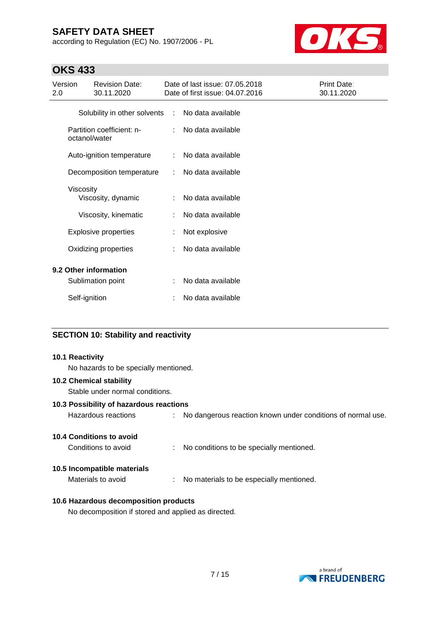according to Regulation (EC) No. 1907/2006 - PL



# **OKS 433**

| Version<br>2.0                                   |               | <b>Revision Date:</b><br>30.11.2020 |                   | Date of last issue: 07.05.2018<br>Date of first issue: 04.07.2016 | Print Date:<br>30.11.2020 |
|--------------------------------------------------|---------------|-------------------------------------|-------------------|-------------------------------------------------------------------|---------------------------|
| Solubility in other solvents : No data available |               |                                     |                   |                                                                   |                           |
| Partition coefficient: n-<br>octanol/water       |               |                                     | No data available |                                                                   |                           |
|                                                  |               | Auto-ignition temperature           | ÷                 | No data available                                                 |                           |
|                                                  |               | Decomposition temperature           | ÷                 | No data available                                                 |                           |
|                                                  | Viscosity     | Viscosity, dynamic                  |                   | No data available                                                 |                           |
|                                                  |               | Viscosity, kinematic                | ÷                 | No data available                                                 |                           |
|                                                  |               | <b>Explosive properties</b>         |                   | Not explosive                                                     |                           |
|                                                  |               | Oxidizing properties                |                   | No data available                                                 |                           |
| 9.2 Other information                            |               |                                     |                   |                                                                   |                           |
|                                                  |               | Sublimation point                   |                   | No data available                                                 |                           |
|                                                  | Self-ignition |                                     |                   | No data available                                                 |                           |

## **SECTION 10: Stability and reactivity**

### **10.1 Reactivity**

No hazards to be specially mentioned.

### **10.2 Chemical stability**

Stable under normal conditions.

### **10.3 Possibility of hazardous reactions**

| Hazardous reactions |  | No dangerous reaction known under conditions of normal use. |
|---------------------|--|-------------------------------------------------------------|
|---------------------|--|-------------------------------------------------------------|

## **10.4 Conditions to avoid**

Conditions to avoid : No conditions to be specially mentioned.

### **10.5 Incompatible materials**

Materials to avoid : No materials to be especially mentioned.

### **10.6 Hazardous decomposition products**

No decomposition if stored and applied as directed.

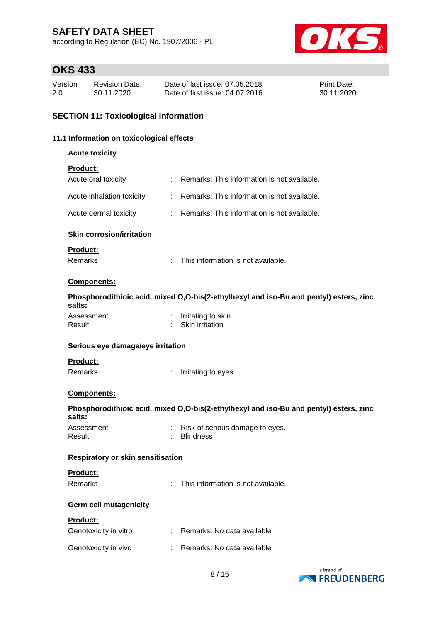according to Regulation (EC) No. 1907/2006 - PL



# **OKS 433**

| Version | Revision Date: | Date of last issue: 07.05.2018  | <b>Print Date:</b> |
|---------|----------------|---------------------------------|--------------------|
| 2.0     | 30.11.2020     | Date of first issue: 04.07.2016 | 30.11.2020         |

### **SECTION 11: Toxicological information**

#### **11.1 Information on toxicological effects**

**Acute toxicity**

### **Product:**

| Acute oral toxicity       | : Remarks: This information is not available. |
|---------------------------|-----------------------------------------------|
| Acute inhalation toxicity | : Remarks: This information is not available. |
| Acute dermal toxicity     | : Remarks: This information is not available. |

#### **Skin corrosion/irritation**

### **Product:**

Remarks : This information is not available.

### **Components:**

**Phosphorodithioic acid, mixed O,O-bis(2-ethylhexyl and iso-Bu and pentyl) esters, zinc salts:**

| Assessment | Irritating to skin. |
|------------|---------------------|
| Result     | Skin irritation     |

#### **Serious eye damage/eye irritation**

#### **Product:**

Remarks : Irritating to eyes.

### **Components:**

**Phosphorodithioic acid, mixed O,O-bis(2-ethylhexyl and iso-Bu and pentyl) esters, zinc salts:**

Assessment : Risk of serious damage to eyes.<br>Result : Blindness : Blindness

### **Respiratory or skin sensitisation**

### **Product:**

| Remarks |  | This information is not available. |
|---------|--|------------------------------------|
|---------|--|------------------------------------|

# **Germ cell mutagenicity**

#### **Product:**

| Genotoxicity in vitro | : Remarks: No data available |
|-----------------------|------------------------------|
| Genotoxicity in vivo  | : Remarks: No data available |

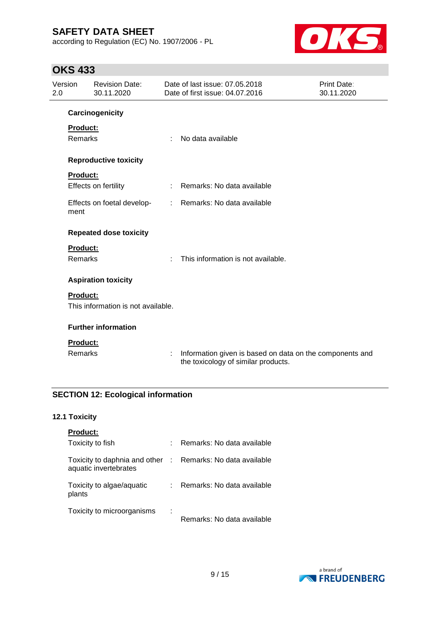according to Regulation (EC) No. 1907/2006 - PL



# **OKS 433**

| Version<br>2.0 |                 | <b>Revision Date:</b><br>30.11.2020 |   | Date of last issue: 07.05.2018<br>Date of first issue: 04.07.2016                               | Print Date:<br>30.11.2020 |
|----------------|-----------------|-------------------------------------|---|-------------------------------------------------------------------------------------------------|---------------------------|
|                |                 | Carcinogenicity                     |   |                                                                                                 |                           |
|                | <b>Product:</b> |                                     |   |                                                                                                 |                           |
|                | <b>Remarks</b>  |                                     | ÷ | No data available                                                                               |                           |
|                |                 | <b>Reproductive toxicity</b>        |   |                                                                                                 |                           |
|                | <b>Product:</b> |                                     |   |                                                                                                 |                           |
|                |                 | Effects on fertility                |   | Remarks: No data available                                                                      |                           |
|                | ment            | Effects on foetal develop-          |   | : Remarks: No data available                                                                    |                           |
|                |                 | <b>Repeated dose toxicity</b>       |   |                                                                                                 |                           |
|                | <b>Product:</b> |                                     |   |                                                                                                 |                           |
|                | <b>Remarks</b>  |                                     | ÷ | This information is not available.                                                              |                           |
|                |                 | <b>Aspiration toxicity</b>          |   |                                                                                                 |                           |
|                | <b>Product:</b> |                                     |   |                                                                                                 |                           |
|                |                 | This information is not available.  |   |                                                                                                 |                           |
|                |                 | <b>Further information</b>          |   |                                                                                                 |                           |
|                | <b>Product:</b> |                                     |   |                                                                                                 |                           |
|                | <b>Remarks</b>  |                                     | ÷ | Information given is based on data on the components and<br>the toxicology of similar products. |                           |

# **SECTION 12: Ecological information**

# **12.1 Toxicity**

| <b>Product:</b>                                        |             |                            |
|--------------------------------------------------------|-------------|----------------------------|
| Toxicity to fish                                       |             | Remarks: No data available |
| Toxicity to daphnia and other<br>aquatic invertebrates | $\sim 10^6$ | Remarks: No data available |
| Toxicity to algae/aquatic<br>plants                    | t.          | Remarks: No data available |
| Toxicity to microorganisms                             | I           | Remarks: No data available |

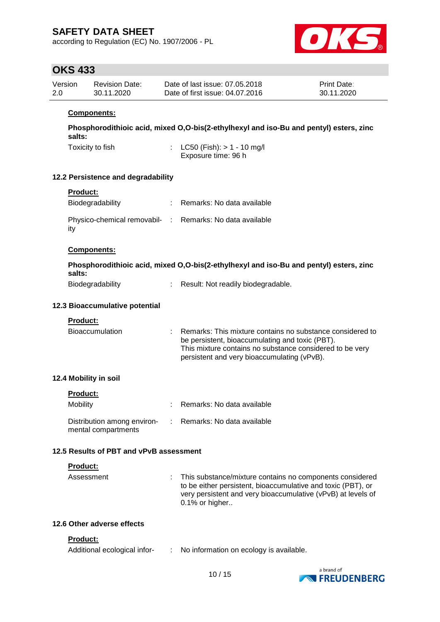according to Regulation (EC) No. 1907/2006 - PL



# **OKS 433**

| Version | <b>Revision Date:</b> | Date of last issue: 07.05.2018  | <b>Print Date:</b> |
|---------|-----------------------|---------------------------------|--------------------|
| 2.0     | 30.11.2020            | Date of first issue: 04.07.2016 | 30.11.2020         |

### **Components:**

**Phosphorodithioic acid, mixed O,O-bis(2-ethylhexyl and iso-Bu and pentyl) esters, zinc salts:**

Toxicity to fish : LC50 (Fish): > 1 - 10 mg/l

Exposure time: 96 h

### **12.2 Persistence and degradability**

| <b>Product:</b> |  |  |
|-----------------|--|--|
|                 |  |  |

| Biodegradability                                                | : Remarks: No data available |
|-----------------------------------------------------------------|------------------------------|
| Physico-chemical removabil- : Remarks: No data available<br>ity |                              |

### **Components:**

|                                                                                                                                                                                                                                | Phosphorodithioic acid, mixed O,O-bis(2-ethylhexyl and iso-Bu and pentyl) esters, zinc                                                                                                                                        |
|--------------------------------------------------------------------------------------------------------------------------------------------------------------------------------------------------------------------------------|-------------------------------------------------------------------------------------------------------------------------------------------------------------------------------------------------------------------------------|
| salts:                                                                                                                                                                                                                         |                                                                                                                                                                                                                               |
| The second control of the second second control of the second second second to the second second second second second second second second second second second second second second second second second second second second | The control of the control of the control of the control of the control of the control of the control of the control of the control of the control of the control of the control of the control of the control of the control |

| Biodegradability |  | Result: Not readily biodegradable. |
|------------------|--|------------------------------------|
|------------------|--|------------------------------------|

#### **12.3 Bioaccumulative potential**

**Product:**

| <b>Bioaccumulation</b> | : Remarks: This mixture contains no substance considered to |
|------------------------|-------------------------------------------------------------|
|                        | be persistent, bioaccumulating and toxic (PBT).             |
|                        | This mixture contains no substance considered to be very    |
|                        | persistent and very bioaccumulating (vPvB).                 |

### **12.4 Mobility in soil**

| <b>Product:</b>                                    |                              |
|----------------------------------------------------|------------------------------|
| Mobility                                           | : Remarks: No data available |
| Distribution among environ-<br>mental compartments | : Remarks: No data available |

## **12.5 Results of PBT and vPvB assessment**

#### **Product:**

| $0.1\%$ or higher | Assessment |  | : This substance/mixture contains no components considered<br>to be either persistent, bioaccumulative and toxic (PBT), or<br>very persistent and very bioaccumulative (vPvB) at levels of |
|-------------------|------------|--|--------------------------------------------------------------------------------------------------------------------------------------------------------------------------------------------|
|-------------------|------------|--|--------------------------------------------------------------------------------------------------------------------------------------------------------------------------------------------|

### **12.6 Other adverse effects**

#### **Product:**

| Additional ecological infor- |  | No information on ecology is available. |
|------------------------------|--|-----------------------------------------|
|------------------------------|--|-----------------------------------------|

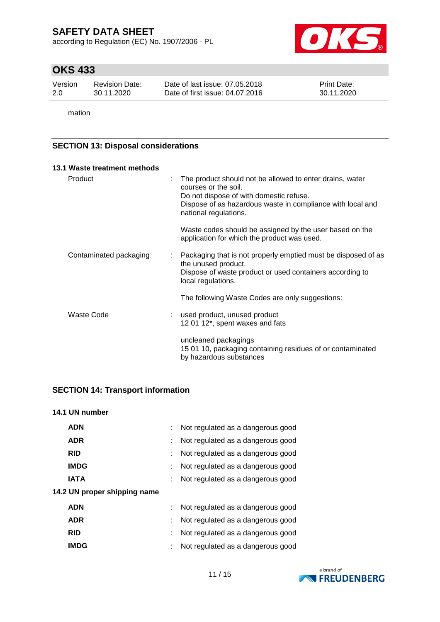according to Regulation (EC) No. 1907/2006 - PL



# **OKS 433**

| Version | <b>Revision Date:</b> | Date of last issue: 07.05.2018  | <b>Print Date:</b> |
|---------|-----------------------|---------------------------------|--------------------|
| -2.0    | 30.11.2020            | Date of first issue: 04.07.2016 | 30.11.2020         |

mation

# **SECTION 13: Disposal considerations**

|         | 13.1 Waste treatment methods |    |                                                                                                                                                                                                                    |
|---------|------------------------------|----|--------------------------------------------------------------------------------------------------------------------------------------------------------------------------------------------------------------------|
| Product |                              | ÷  | The product should not be allowed to enter drains, water<br>courses or the soil.<br>Do not dispose of with domestic refuse.<br>Dispose of as hazardous waste in compliance with local and<br>national regulations. |
|         |                              |    | Waste codes should be assigned by the user based on the<br>application for which the product was used.                                                                                                             |
|         | Contaminated packaging       | t. | Packaging that is not properly emptied must be disposed of as<br>the unused product.<br>Dispose of waste product or used containers according to<br>local regulations.                                             |
|         |                              |    | The following Waste Codes are only suggestions:                                                                                                                                                                    |
|         | Waste Code                   |    | used product, unused product<br>12 01 12*, spent waxes and fats                                                                                                                                                    |
|         |                              |    | uncleaned packagings<br>15 01 10, packaging containing residues of or contaminated<br>by hazardous substances                                                                                                      |

# **SECTION 14: Transport information**

### **14.1 UN number**

| <b>ADN</b>                   |    | Not regulated as a dangerous good |
|------------------------------|----|-----------------------------------|
| <b>ADR</b>                   | ÷. | Not regulated as a dangerous good |
| <b>RID</b>                   |    | Not regulated as a dangerous good |
| <b>IMDG</b>                  |    | Not regulated as a dangerous good |
| <b>IATA</b>                  | ÷  | Not regulated as a dangerous good |
| 14.2 UN proper shipping name |    |                                   |
| <b>ADN</b>                   | ÷. | Not regulated as a dangerous good |
| <b>ADR</b>                   | ÷. | Not regulated as a dangerous good |
| <b>RID</b>                   | ÷  | Not regulated as a dangerous good |
| <b>IMDG</b>                  |    | Not regulated as a dangerous good |
|                              |    |                                   |

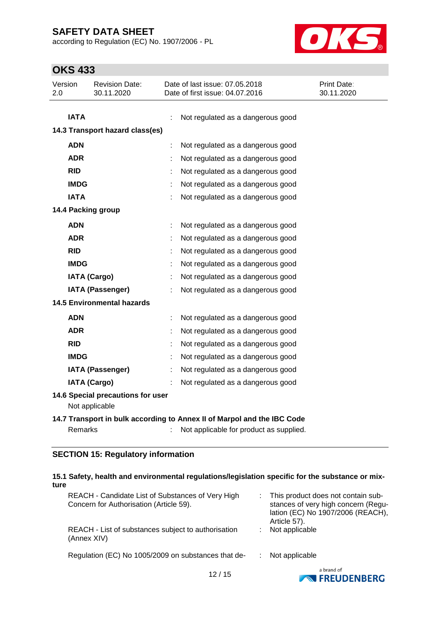according to Regulation (EC) No. 1907/2006 - PL



# **OKS 433**

| Version<br>Date of last issue: 07.05.2018<br><b>Revision Date:</b><br>Print Date:<br>2.0<br>30.11.2020<br>Date of first issue: 04.07.2016<br>30.11.2020<br><b>IATA</b><br>Not regulated as a dangerous good<br>14.3 Transport hazard class(es)<br><b>ADN</b><br>Not regulated as a dangerous good<br><b>ADR</b><br>Not regulated as a dangerous good<br><b>RID</b><br>Not regulated as a dangerous good<br><b>IMDG</b><br>Not regulated as a dangerous good<br><b>IATA</b><br>Not regulated as a dangerous good<br>14.4 Packing group<br><b>ADN</b><br>Not regulated as a dangerous good<br><b>ADR</b><br>Not regulated as a dangerous good<br><b>RID</b><br>Not regulated as a dangerous good<br><b>IMDG</b><br>Not regulated as a dangerous good<br><b>IATA (Cargo)</b><br>Not regulated as a dangerous good<br><b>IATA (Passenger)</b><br>Not regulated as a dangerous good<br><b>14.5 Environmental hazards</b><br><b>ADN</b><br>Not regulated as a dangerous good<br><b>ADR</b><br>Not regulated as a dangerous good<br><b>RID</b><br>Not regulated as a dangerous good<br><b>IMDG</b><br>Not regulated as a dangerous good<br><b>IATA (Passenger)</b><br>Not regulated as a dangerous good<br><b>IATA (Cargo)</b><br>Not regulated as a dangerous good<br>14.6 Special precautions for user<br>Not applicable<br>14.7 Transport in bulk according to Annex II of Marpol and the IBC Code<br>Remarks<br>Not applicable for product as supplied.<br><b>SECTION 15: Regulatory information</b> | טניד טווט |  |  |
|---------------------------------------------------------------------------------------------------------------------------------------------------------------------------------------------------------------------------------------------------------------------------------------------------------------------------------------------------------------------------------------------------------------------------------------------------------------------------------------------------------------------------------------------------------------------------------------------------------------------------------------------------------------------------------------------------------------------------------------------------------------------------------------------------------------------------------------------------------------------------------------------------------------------------------------------------------------------------------------------------------------------------------------------------------------------------------------------------------------------------------------------------------------------------------------------------------------------------------------------------------------------------------------------------------------------------------------------------------------------------------------------------------------------------------------------------------------------------------------------------|-----------|--|--|
|                                                                                                                                                                                                                                                                                                                                                                                                                                                                                                                                                                                                                                                                                                                                                                                                                                                                                                                                                                                                                                                                                                                                                                                                                                                                                                                                                                                                                                                                                                   |           |  |  |
|                                                                                                                                                                                                                                                                                                                                                                                                                                                                                                                                                                                                                                                                                                                                                                                                                                                                                                                                                                                                                                                                                                                                                                                                                                                                                                                                                                                                                                                                                                   |           |  |  |
|                                                                                                                                                                                                                                                                                                                                                                                                                                                                                                                                                                                                                                                                                                                                                                                                                                                                                                                                                                                                                                                                                                                                                                                                                                                                                                                                                                                                                                                                                                   |           |  |  |
|                                                                                                                                                                                                                                                                                                                                                                                                                                                                                                                                                                                                                                                                                                                                                                                                                                                                                                                                                                                                                                                                                                                                                                                                                                                                                                                                                                                                                                                                                                   |           |  |  |
|                                                                                                                                                                                                                                                                                                                                                                                                                                                                                                                                                                                                                                                                                                                                                                                                                                                                                                                                                                                                                                                                                                                                                                                                                                                                                                                                                                                                                                                                                                   |           |  |  |
|                                                                                                                                                                                                                                                                                                                                                                                                                                                                                                                                                                                                                                                                                                                                                                                                                                                                                                                                                                                                                                                                                                                                                                                                                                                                                                                                                                                                                                                                                                   |           |  |  |
|                                                                                                                                                                                                                                                                                                                                                                                                                                                                                                                                                                                                                                                                                                                                                                                                                                                                                                                                                                                                                                                                                                                                                                                                                                                                                                                                                                                                                                                                                                   |           |  |  |
|                                                                                                                                                                                                                                                                                                                                                                                                                                                                                                                                                                                                                                                                                                                                                                                                                                                                                                                                                                                                                                                                                                                                                                                                                                                                                                                                                                                                                                                                                                   |           |  |  |
|                                                                                                                                                                                                                                                                                                                                                                                                                                                                                                                                                                                                                                                                                                                                                                                                                                                                                                                                                                                                                                                                                                                                                                                                                                                                                                                                                                                                                                                                                                   |           |  |  |
|                                                                                                                                                                                                                                                                                                                                                                                                                                                                                                                                                                                                                                                                                                                                                                                                                                                                                                                                                                                                                                                                                                                                                                                                                                                                                                                                                                                                                                                                                                   |           |  |  |
|                                                                                                                                                                                                                                                                                                                                                                                                                                                                                                                                                                                                                                                                                                                                                                                                                                                                                                                                                                                                                                                                                                                                                                                                                                                                                                                                                                                                                                                                                                   |           |  |  |
|                                                                                                                                                                                                                                                                                                                                                                                                                                                                                                                                                                                                                                                                                                                                                                                                                                                                                                                                                                                                                                                                                                                                                                                                                                                                                                                                                                                                                                                                                                   |           |  |  |
|                                                                                                                                                                                                                                                                                                                                                                                                                                                                                                                                                                                                                                                                                                                                                                                                                                                                                                                                                                                                                                                                                                                                                                                                                                                                                                                                                                                                                                                                                                   |           |  |  |
|                                                                                                                                                                                                                                                                                                                                                                                                                                                                                                                                                                                                                                                                                                                                                                                                                                                                                                                                                                                                                                                                                                                                                                                                                                                                                                                                                                                                                                                                                                   |           |  |  |
|                                                                                                                                                                                                                                                                                                                                                                                                                                                                                                                                                                                                                                                                                                                                                                                                                                                                                                                                                                                                                                                                                                                                                                                                                                                                                                                                                                                                                                                                                                   |           |  |  |
|                                                                                                                                                                                                                                                                                                                                                                                                                                                                                                                                                                                                                                                                                                                                                                                                                                                                                                                                                                                                                                                                                                                                                                                                                                                                                                                                                                                                                                                                                                   |           |  |  |
|                                                                                                                                                                                                                                                                                                                                                                                                                                                                                                                                                                                                                                                                                                                                                                                                                                                                                                                                                                                                                                                                                                                                                                                                                                                                                                                                                                                                                                                                                                   |           |  |  |
|                                                                                                                                                                                                                                                                                                                                                                                                                                                                                                                                                                                                                                                                                                                                                                                                                                                                                                                                                                                                                                                                                                                                                                                                                                                                                                                                                                                                                                                                                                   |           |  |  |
|                                                                                                                                                                                                                                                                                                                                                                                                                                                                                                                                                                                                                                                                                                                                                                                                                                                                                                                                                                                                                                                                                                                                                                                                                                                                                                                                                                                                                                                                                                   |           |  |  |
|                                                                                                                                                                                                                                                                                                                                                                                                                                                                                                                                                                                                                                                                                                                                                                                                                                                                                                                                                                                                                                                                                                                                                                                                                                                                                                                                                                                                                                                                                                   |           |  |  |
|                                                                                                                                                                                                                                                                                                                                                                                                                                                                                                                                                                                                                                                                                                                                                                                                                                                                                                                                                                                                                                                                                                                                                                                                                                                                                                                                                                                                                                                                                                   |           |  |  |
|                                                                                                                                                                                                                                                                                                                                                                                                                                                                                                                                                                                                                                                                                                                                                                                                                                                                                                                                                                                                                                                                                                                                                                                                                                                                                                                                                                                                                                                                                                   |           |  |  |
|                                                                                                                                                                                                                                                                                                                                                                                                                                                                                                                                                                                                                                                                                                                                                                                                                                                                                                                                                                                                                                                                                                                                                                                                                                                                                                                                                                                                                                                                                                   |           |  |  |
|                                                                                                                                                                                                                                                                                                                                                                                                                                                                                                                                                                                                                                                                                                                                                                                                                                                                                                                                                                                                                                                                                                                                                                                                                                                                                                                                                                                                                                                                                                   |           |  |  |
|                                                                                                                                                                                                                                                                                                                                                                                                                                                                                                                                                                                                                                                                                                                                                                                                                                                                                                                                                                                                                                                                                                                                                                                                                                                                                                                                                                                                                                                                                                   |           |  |  |
|                                                                                                                                                                                                                                                                                                                                                                                                                                                                                                                                                                                                                                                                                                                                                                                                                                                                                                                                                                                                                                                                                                                                                                                                                                                                                                                                                                                                                                                                                                   |           |  |  |
|                                                                                                                                                                                                                                                                                                                                                                                                                                                                                                                                                                                                                                                                                                                                                                                                                                                                                                                                                                                                                                                                                                                                                                                                                                                                                                                                                                                                                                                                                                   |           |  |  |

#### **15.1 Safety, health and environmental regulations/legislation specific for the substance or mixture**

| REACH - Candidate List of Substances of Very High<br>Concern for Authorisation (Article 59). | : This product does not contain sub-<br>stances of very high concern (Regu-<br>lation (EC) No 1907/2006 (REACH),<br>Article 57). |
|----------------------------------------------------------------------------------------------|----------------------------------------------------------------------------------------------------------------------------------|
| REACH - List of substances subject to authorisation<br>(Annex XIV)                           | Not applicable                                                                                                                   |
| Regulation (EC) No 1005/2009 on substances that de-                                          | Not applicable                                                                                                                   |
| 12/15                                                                                        | a brand of                                                                                                                       |

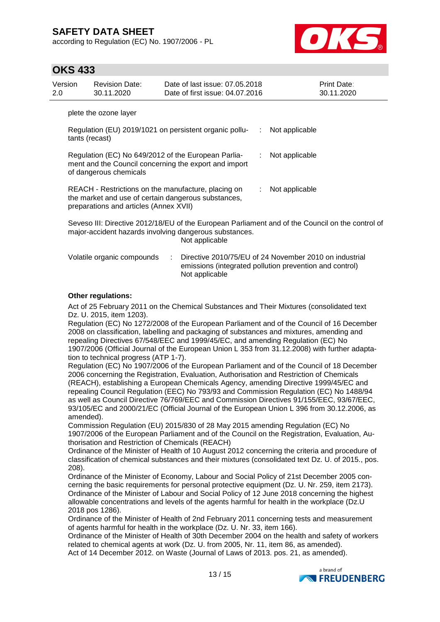according to Regulation (EC) No. 1907/2006 - PL



# **OKS 433**

| Version<br>2.0 |                | <b>Revision Date:</b><br>30.11.2020    | Date of last issue: 07.05.2018<br>Date of first issue: 04.07.2016                                                                                                            |    |                  | Print Date:<br>30.11.2020 |
|----------------|----------------|----------------------------------------|------------------------------------------------------------------------------------------------------------------------------------------------------------------------------|----|------------------|---------------------------|
|                |                | plete the ozone layer                  |                                                                                                                                                                              |    |                  |                           |
|                | tants (recast) |                                        | Regulation (EU) 2019/1021 on persistent organic pollu-                                                                                                                       | ÷. | Not applicable   |                           |
|                |                | of dangerous chemicals                 | Regulation (EC) No 649/2012 of the European Parlia-<br>ment and the Council concerning the export and import                                                                 |    | : Not applicable |                           |
|                |                | preparations and articles (Annex XVII) | REACH - Restrictions on the manufacture, placing on<br>the market and use of certain dangerous substances,                                                                   | ÷. | Not applicable   |                           |
|                |                |                                        | Seveso III: Directive 2012/18/EU of the European Parliament and of the Council on the control of<br>major-accident hazards involving dangerous substances.<br>Not applicable |    |                  |                           |
|                |                | Volatile organic compounds             | Directive 2010/75/EU of 24 November 2010 on industrial<br>emissions (integrated pollution prevention and control)                                                            |    |                  |                           |

### **Other regulations:**

Act of 25 February 2011 on the Chemical Substances and Their Mixtures (consolidated text Dz. U. 2015, item 1203).

Not applicable

Regulation (EC) No 1272/2008 of the European Parliament and of the Council of 16 December 2008 on classification, labelling and packaging of substances and mixtures, amending and repealing Directives 67/548/EEC and 1999/45/EC, and amending Regulation (EC) No 1907/2006 (Official Journal of the European Union L 353 from 31.12.2008) with further adaptation to technical progress (ATP 1-7).

Regulation (EC) No 1907/2006 of the European Parliament and of the Council of 18 December 2006 concerning the Registration, Evaluation, Authorisation and Restriction of Chemicals (REACH), establishing a European Chemicals Agency, amending Directive 1999/45/EC and repealing Council Regulation (EEC) No 793/93 and Commission Regulation (EC) No 1488/94 as well as Council Directive 76/769/EEC and Commission Directives 91/155/EEC, 93/67/EEC, 93/105/EC and 2000/21/EC (Official Journal of the European Union L 396 from 30.12.2006, as amended).

Commission Regulation (EU) 2015/830 of 28 May 2015 amending Regulation (EC) No 1907/2006 of the European Parliament and of the Council on the Registration, Evaluation, Authorisation and Restriction of Chemicals (REACH)

Ordinance of the Minister of Health of 10 August 2012 concerning the criteria and procedure of classification of chemical substances and their mixtures (consolidated text Dz. U. of 2015., pos. 208).

Ordinance of the Minister of Economy, Labour and Social Policy of 21st December 2005 concerning the basic requirements for personal protective equipment (Dz. U. Nr. 259, item 2173). Ordinance of the Minister of Labour and Social Policy of 12 June 2018 concerning the highest allowable concentrations and levels of the agents harmful for health in the workplace (Dz.U 2018 pos 1286).

Ordinance of the Minister of Health of 2nd February 2011 concerning tests and measurement of agents harmful for health in the workplace (Dz. U. Nr. 33, item 166).

Ordinance of the Minister of Health of 30th December 2004 on the health and safety of workers related to chemical agents at work (Dz. U. from 2005, Nr. 11, item 86, as amended). Act of 14 December 2012. on Waste (Journal of Laws of 2013. pos. 21, as amended).

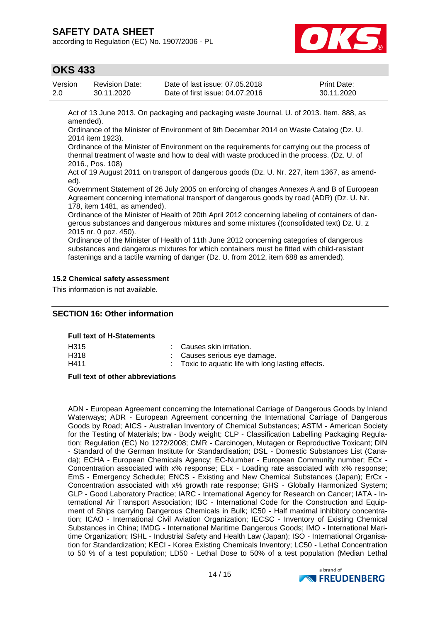according to Regulation (EC) No. 1907/2006 - PL



# **OKS 433**

| Version | Revision Date: | Date of last issue: 07.05.2018  | <b>Print Date:</b> |
|---------|----------------|---------------------------------|--------------------|
| 2.0     | 30.11.2020     | Date of first issue: 04.07.2016 | 30.11.2020         |

Act of 13 June 2013. On packaging and packaging waste Journal. U. of 2013. Item. 888, as amended).

Ordinance of the Minister of Environment of 9th December 2014 on Waste Catalog (Dz. U. 2014 item 1923).

Ordinance of the Minister of Environment on the requirements for carrying out the process of thermal treatment of waste and how to deal with waste produced in the process. (Dz. U. of 2016., Pos. 108)

Act of 19 August 2011 on transport of dangerous goods (Dz. U. Nr. 227, item 1367, as amended).

Government Statement of 26 July 2005 on enforcing of changes Annexes A and B of European Agreement concerning international transport of dangerous goods by road (ADR) (Dz. U. Nr. 178, item 1481, as amended).

Ordinance of the Minister of Health of 20th April 2012 concerning labeling of containers of dangerous substances and dangerous mixtures and some mixtures ((consolidated text) Dz. U. z 2015 nr. 0 poz. 450).

Ordinance of the Minister of Health of 11th June 2012 concerning categories of dangerous substances and dangerous mixtures for which containers must be fitted with child-resistant fastenings and a tactile warning of danger (Dz. U. from 2012, item 688 as amended).

### **15.2 Chemical safety assessment**

This information is not available.

### **SECTION 16: Other information**

#### **Full text of H-Statements**

| H315 | : Causes skin irritation.                          |
|------|----------------------------------------------------|
| H318 | : Causes serious eye damage.                       |
| H411 | : Toxic to aquatic life with long lasting effects. |

#### **Full text of other abbreviations**

ADN - European Agreement concerning the International Carriage of Dangerous Goods by Inland Waterways; ADR - European Agreement concerning the International Carriage of Dangerous Goods by Road; AICS - Australian Inventory of Chemical Substances; ASTM - American Society for the Testing of Materials; bw - Body weight; CLP - Classification Labelling Packaging Regulation; Regulation (EC) No 1272/2008; CMR - Carcinogen, Mutagen or Reproductive Toxicant; DIN - Standard of the German Institute for Standardisation; DSL - Domestic Substances List (Canada); ECHA - European Chemicals Agency; EC-Number - European Community number; ECx - Concentration associated with x% response; ELx - Loading rate associated with x% response; EmS - Emergency Schedule; ENCS - Existing and New Chemical Substances (Japan); ErCx - Concentration associated with x% growth rate response; GHS - Globally Harmonized System; GLP - Good Laboratory Practice; IARC - International Agency for Research on Cancer; IATA - International Air Transport Association; IBC - International Code for the Construction and Equipment of Ships carrying Dangerous Chemicals in Bulk; IC50 - Half maximal inhibitory concentration; ICAO - International Civil Aviation Organization; IECSC - Inventory of Existing Chemical Substances in China; IMDG - International Maritime Dangerous Goods; IMO - International Maritime Organization; ISHL - Industrial Safety and Health Law (Japan); ISO - International Organisation for Standardization; KECI - Korea Existing Chemicals Inventory; LC50 - Lethal Concentration to 50 % of a test population; LD50 - Lethal Dose to 50% of a test population (Median Lethal